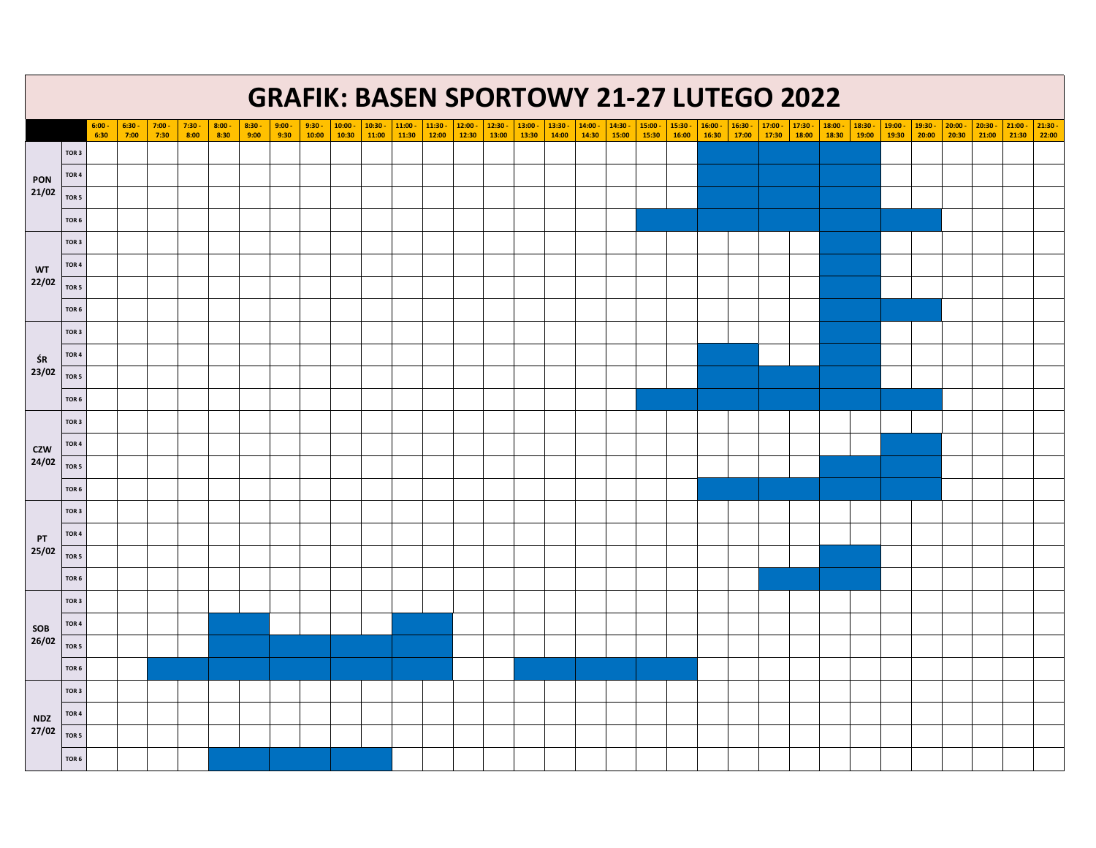